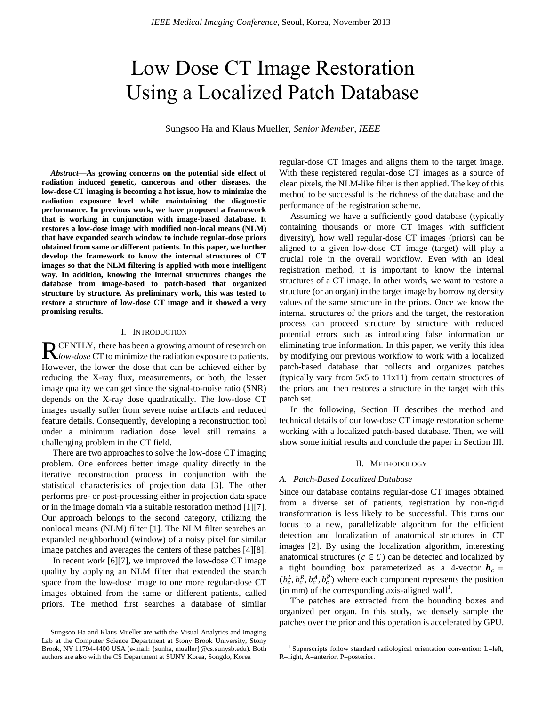# Low Dose CT Image Restoration Using a Localized Patch Database

Sungsoo Ha and Klaus Mueller, *Senior Member, IEEE*

*Abstract***—As growing concerns on the potential side effect of radiation induced genetic, cancerous and other diseases, the low-dose CT imaging is becoming a hot issue, how to minimize the radiation exposure level while maintaining the diagnostic performance. In previous work, we have proposed a framework that is working in conjunction with image-based database. It restores a low-dose image with modified non-local means (NLM) that have expanded search window to include regular-dose priors obtained from same or different patients. In this paper, we further develop the framework to know the internal structures of CT images so that the NLM filtering is applied with more intelligent way. In addition, knowing the internal structures changes the database from image-based to patch-based that organized structure by structure. As preliminary work, this was tested to restore a structure of low-dose CT image and it showed a very promising results.**

#### I. INTRODUCTION

CENTLY, there has been a growing amount of research on *R* CENTLY, there has been a growing amount of research on *low-dose* CT to minimize the radiation exposure to patients. However, the lower the dose that can be achieved either by reducing the X-ray flux, measurements, or both, the lesser image quality we can get since the signal-to-noise ratio (SNR) depends on the X-ray dose quadratically. The low-dose CT images usually suffer from severe noise artifacts and reduced feature details. Consequently, developing a reconstruction tool under a minimum radiation dose level still remains a challenging problem in the CT field.

 There are two approaches to solve the low-dose CT imaging problem. One enforces better image quality directly in the iterative reconstruction process in conjunction with the statistical characteristics of projection data [\[3\].](#page-1-0) The other performs pre- or post-processing either in projection data space or in the image domain via a suitable restoration method [\[1\]\[7\].](#page-1-1) Our approach belongs to the second category, utilizing the nonlocal means (NLM) filter [\[1\].](#page-1-1) The NLM filter searches an expanded neighborhood (window) of a noisy pixel for similar image patches and averages the centers of these patches [\[4\]\[8\].](#page-1-2)

In recent work  $[6][7]$ , we improved the low-dose CT image quality by applying an NLM filter that extended the search space from the low-dose image to one more regular-dose CT images obtained from the same or different patients, called priors. The method first searches a database of similar regular-dose CT images and aligns them to the target image. With these registered regular-dose CT images as a source of clean pixels, the NLM-like filter is then applied. The key of this method to be successful is the richness of the database and the performance of the registration scheme.

 Assuming we have a sufficiently good database (typically containing thousands or more CT images with sufficient diversity), how well regular-dose CT images (priors) can be aligned to a given low-dose CT image (target) will play a crucial role in the overall workflow. Even with an ideal registration method, it is important to know the internal structures of a CT image. In other words, we want to restore a structure (or an organ) in the target image by borrowing density values of the same structure in the priors. Once we know the internal structures of the priors and the target, the restoration process can proceed structure by structure with reduced potential errors such as introducing false information or eliminating true information. In this paper, we verify this idea by modifying our previous workflow to work with a localized patch-based database that collects and organizes patches (typically vary from 5x5 to 11x11) from certain structures of the priors and then restores a structure in the target with this patch set.

 In the following, Section II describes the method and technical details of our low-dose CT image restoration scheme working with a localized patch-based database. Then, we will show some initial results and conclude the paper in Section III.

#### II. METHODOLOGY

### *A. Patch-Based Localized Database*

Since our database contains regular-dose CT images obtained from a diverse set of patients, registration by non-rigid transformation is less likely to be successful. This turns our focus to a new, parallelizable algorithm for the efficient detection and localization of anatomical structures in CT images [\[2\].](#page-1-4) By using the localization algorithm, interesting anatomical structures ( $c \in C$ ) can be detected and localized by a tight bounding box parameterized as a 4-vector  $\mathbf{b}_c =$  $(b_c^L, b_c^R, b_c^A, b_c^p)$  where each component represents the position  $(in \, mm)$  of the corresponding axis-aligned wall<sup>1</sup>.

 The patches are extracted from the bounding boxes and organized per organ. In this study, we densely sample the patches over the prior and this operation is accelerated by GPU.

Sungsoo Ha and Klaus Mueller are with the Visual Analytics and Imaging Lab at the Computer Science Department at Stony Brook University, Stony Brook, NY 11794-4400 USA (e-mail: {sunha, mueller}@cs.sunysb.edu). Both authors are also with the CS Department at SUNY Korea, Songdo, Korea

<sup>&</sup>lt;sup>1</sup> Superscripts follow standard radiological orientation convention: L=left, R=right, A=anterior, P=posterior.